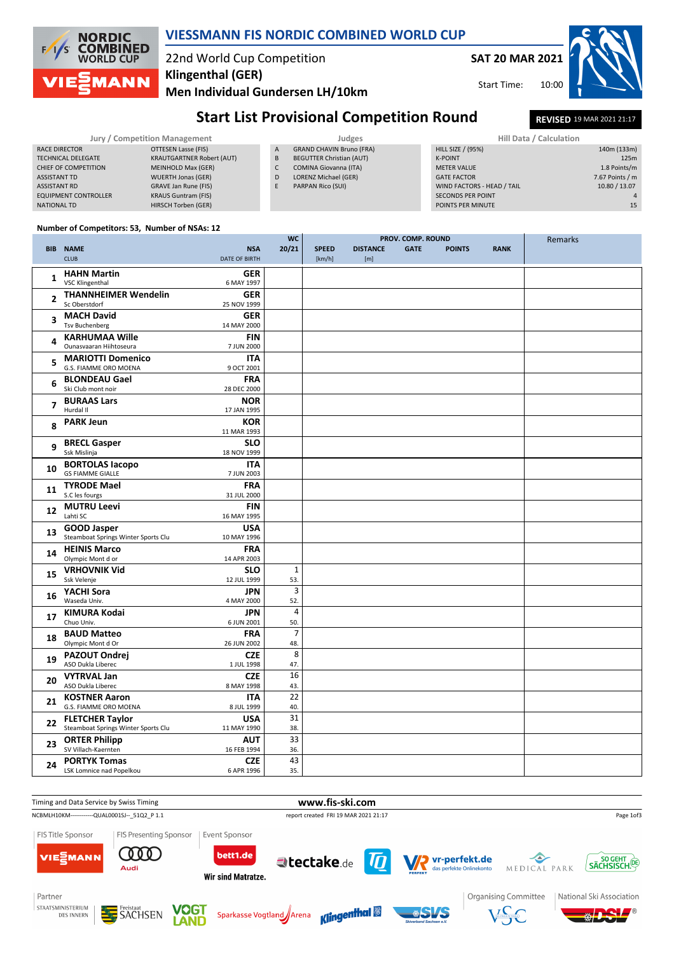# **VIESSMANN FIS NORDIC COMBINED WORLD CUP**

#### 22nd World Cup Competition **Klingenthal (GER)**

**Men Individual Gundersen LH/10km**

**SAT 20 MAR 2021**

Start Time:

# **Start List Provisional Competition Round<br>
<b>REVISED** 19 MAR 2021 21:17

**PROV. COMP. ROUND**

| Jury / Competition Management |                             |                                  | Judges | <b>Hill Data / Calculation</b>  |                            |  |
|-------------------------------|-----------------------------|----------------------------------|--------|---------------------------------|----------------------------|--|
|                               | RACE DIRECTOR               | OTTESEN Lasse (FIS)              | A      | <b>GRAND CHAVIN Bruno (FRA)</b> | <b>HILL SIZE / (95%)</b>   |  |
|                               | <b>TECHNICAL DELEGATE</b>   | <b>KRAUTGARTNER Robert (AUT)</b> | B      | <b>BEGUTTER Christian (AUT)</b> | K-POINT                    |  |
|                               | CHIEF OF COMPETITION        | MEINHOLD Max (GER)               |        | <b>COMINA Giovanna (ITA)</b>    | <b>METER VALUE</b>         |  |
|                               | <b>ASSISTANT TD</b>         | <b>WUERTH Jonas (GER)</b>        | D      | LORENZ Michael (GER)            | <b>GATE FACTOR</b>         |  |
|                               | <b>ASSISTANT RD</b>         | GRAVE Jan Rune (FIS)             |        | PARPAN Rico (SUI)               | WIND FACTORS - HEAD / TAIL |  |
|                               | <b>EQUIPMENT CONTROLLER</b> | <b>KRAUS Guntram (FIS)</b>       |        |                                 | <b>SECONDS PER POINT</b>   |  |
|                               | NATIONAL TD                 | <b>HIRSCH Torben (GER)</b>       |        |                                 | POINTS PER MINUTE          |  |

| Hill Data / Calculation    |                 |
|----------------------------|-----------------|
| <b>HILL SIZE / (95%)</b>   | 140m (133m)     |
| <b>K-POINT</b>             | 125m            |
| <b>METER VALUE</b>         | 1.8 Points/m    |
| <b>GATE FACTOR</b>         | 7.67 Points / m |
| WIND FACTORS - HEAD / TAIL | 10.80 / 13.07   |
| <b>SECONDS PER POINT</b>   |                 |
| POINTS PER MINUTE          | 15              |

10:00

#### **Number of Competitors: 53, Number of NSAs: 12**

**NORDIC COMBINED**<br>WORLD CUP

**1ANN** 

/s

|                |                                           |                           | <b>WC</b>             |              | PROV. COMP. ROUND |             |               |             | Remarks |
|----------------|-------------------------------------------|---------------------------|-----------------------|--------------|-------------------|-------------|---------------|-------------|---------|
|                | <b>BIB NAME</b>                           | <b>NSA</b>                | 20/21                 | <b>SPEED</b> | <b>DISTANCE</b>   | <b>GATE</b> | <b>POINTS</b> | <b>RANK</b> |         |
|                | <b>CLUB</b>                               | <b>DATE OF BIRTH</b>      |                       | [km/h]       | [m]               |             |               |             |         |
| $\mathbf{1}$   | <b>HAHN Martin</b>                        | <b>GER</b>                |                       |              |                   |             |               |             |         |
|                | <b>VSC Klingenthal</b>                    | 6 MAY 1997                |                       |              |                   |             |               |             |         |
| $\overline{2}$ | <b>THANNHEIMER Wendelin</b>               | <b>GER</b>                |                       |              |                   |             |               |             |         |
|                | Sc Oberstdorf                             | 25 NOV 1999               |                       |              |                   |             |               |             |         |
| 3              | <b>MACH David</b>                         | <b>GER</b>                |                       |              |                   |             |               |             |         |
|                | <b>Tsv Buchenberg</b>                     | 14 MAY 2000               |                       |              |                   |             |               |             |         |
| 4              | <b>KARHUMAA Wille</b>                     | <b>FIN</b>                |                       |              |                   |             |               |             |         |
|                | Ounasvaaran Hiihtoseura                   | 7 JUN 2000                |                       |              |                   |             |               |             |         |
| 5              | <b>MARIOTTI Domenico</b>                  | <b>ITA</b>                |                       |              |                   |             |               |             |         |
|                | G.S. FIAMME ORO MOENA                     | 9 OCT 2001                |                       |              |                   |             |               |             |         |
| 6              | <b>BLONDEAU Gael</b>                      | <b>FRA</b>                |                       |              |                   |             |               |             |         |
|                | Ski Club mont noir                        | 28 DEC 2000               |                       |              |                   |             |               |             |         |
| $\overline{7}$ | <b>BURAAS Lars</b><br>Hurdal II           | <b>NOR</b><br>17 JAN 1995 |                       |              |                   |             |               |             |         |
|                |                                           |                           |                       |              |                   |             |               |             |         |
| 8              | <b>PARK Jeun</b>                          | <b>KOR</b><br>11 MAR 1993 |                       |              |                   |             |               |             |         |
|                | <b>BRECL Gasper</b>                       | <b>SLO</b>                |                       |              |                   |             |               |             |         |
| 9              | Ssk Mislinja                              | 18 NOV 1999               |                       |              |                   |             |               |             |         |
|                | <b>BORTOLAS lacopo</b>                    | <b>ITA</b>                |                       |              |                   |             |               |             |         |
| 10             | <b>GS FIAMME GIALLE</b>                   | 7 JUN 2003                |                       |              |                   |             |               |             |         |
|                | <b>TYRODE Mael</b>                        | <b>FRA</b>                |                       |              |                   |             |               |             |         |
| 11             | S.C les fourgs                            | 31 JUL 2000               |                       |              |                   |             |               |             |         |
|                | <b>MUTRU Leevi</b>                        | <b>FIN</b>                |                       |              |                   |             |               |             |         |
| 12             | Lahti SC                                  | 16 MAY 1995               |                       |              |                   |             |               |             |         |
| 13             | <b>GOOD Jasper</b>                        | <b>USA</b>                |                       |              |                   |             |               |             |         |
|                | Steamboat Springs Winter Sports Clu       | 10 MAY 1996               |                       |              |                   |             |               |             |         |
| 14             | <b>HEINIS Marco</b>                       | <b>FRA</b>                |                       |              |                   |             |               |             |         |
|                | Olympic Mont d or                         | 14 APR 2003               |                       |              |                   |             |               |             |         |
| 15             | <b>VRHOVNIK Vid</b>                       | <b>SLO</b>                | $\mathbf 1$           |              |                   |             |               |             |         |
|                | Ssk Velenje                               | 12 JUL 1999               | 53.                   |              |                   |             |               |             |         |
| 16             | YACHI Sora                                | JPN                       | 3                     |              |                   |             |               |             |         |
|                | Waseda Univ.                              | 4 MAY 2000                | 52.                   |              |                   |             |               |             |         |
| 17             | KIMURA Kodai                              | JPN                       | $\overline{4}$        |              |                   |             |               |             |         |
|                | Chuo Univ.                                | 6 JUN 2001                | 50.                   |              |                   |             |               |             |         |
| 18             | <b>BAUD Matteo</b><br>Olympic Mont d Or   | <b>FRA</b><br>26 JUN 2002 | $\overline{7}$<br>48. |              |                   |             |               |             |         |
|                |                                           | <b>CZE</b>                | 8                     |              |                   |             |               |             |         |
| 19             | <b>PAZOUT Ondrej</b><br>ASO Dukla Liberec | 1 JUL 1998                | 47.                   |              |                   |             |               |             |         |
|                | <b>VYTRVAL Jan</b>                        | <b>CZE</b>                | 16                    |              |                   |             |               |             |         |
| 20             | ASO Dukla Liberec                         | 8 MAY 1998                | 43.                   |              |                   |             |               |             |         |
|                | <b>KOSTNER Aaron</b>                      | <b>ITA</b>                | 22                    |              |                   |             |               |             |         |
| 21             | G.S. FIAMME ORO MOENA                     | 8 JUL 1999                | 40.                   |              |                   |             |               |             |         |
|                | <b>FLETCHER Taylor</b>                    | <b>USA</b>                | 31                    |              |                   |             |               |             |         |
| 22             | Steamboat Springs Winter Sports Clu       | 11 MAY 1990               | 38.                   |              |                   |             |               |             |         |
| 23             | <b>ORTER Philipp</b>                      | <b>AUT</b>                | 33                    |              |                   |             |               |             |         |
|                | SV Villach-Kaernten                       | 16 FEB 1994               | 36.                   |              |                   |             |               |             |         |
| 24             | <b>PORTYK Tomas</b>                       | <b>CZE</b>                | 43                    |              |                   |             |               |             |         |
|                | LSK Lomnice nad Popelkou                  | 6 APR 1996                | 35.                   |              |                   |             |               |             |         |





Freistaat<br>**SACHSEN** 

**VOGT** 

Sparkasse Vogtland Arena





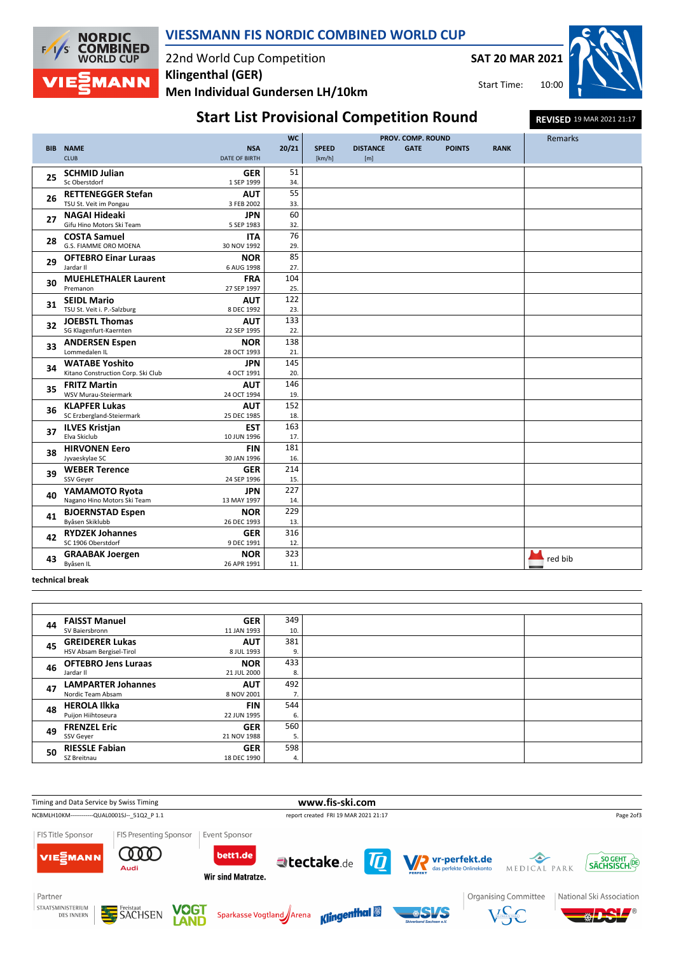

### **VIESSMANN FIS NORDIC COMBINED WORLD CUP**

## 22nd World Cup Competition **Men Individual Gundersen LH/10km Klingenthal (GER)**

**SAT 20 MAR 2021**

Start Time:



# **Start List Provisional Competition Round<br>
<b>REVISED** 19 MAR 2021 21:17

|            |                                        |                           | <b>WC</b>  | PROV. COMP. ROUND |                 |             |               | Remarks     |         |
|------------|----------------------------------------|---------------------------|------------|-------------------|-----------------|-------------|---------------|-------------|---------|
| <b>BIB</b> | <b>NAME</b>                            | <b>NSA</b>                | 20/21      | <b>SPEED</b>      | <b>DISTANCE</b> | <b>GATE</b> | <b>POINTS</b> | <b>RANK</b> |         |
|            | <b>CLUB</b>                            | <b>DATE OF BIRTH</b>      |            | [km/h]            | [m]             |             |               |             |         |
| 25         | <b>SCHMID Julian</b>                   | <b>GER</b>                | 51         |                   |                 |             |               |             |         |
|            | Sc Oberstdorf                          | 1 SEP 1999                | 34.        |                   |                 |             |               |             |         |
| 26         | <b>RETTENEGGER Stefan</b>              | <b>AUT</b>                | 55         |                   |                 |             |               |             |         |
|            | TSU St. Veit im Pongau                 | 3 FEB 2002                | 33.        |                   |                 |             |               |             |         |
| 27         | <b>NAGAI Hideaki</b>                   | <b>JPN</b>                | 60         |                   |                 |             |               |             |         |
|            | Gifu Hino Motors Ski Team              | 5 SEP 1983                | 32.        |                   |                 |             |               |             |         |
| 28         | <b>COSTA Samuel</b>                    | <b>ITA</b>                | 76         |                   |                 |             |               |             |         |
|            | G.S. FIAMME ORO MOENA                  | 30 NOV 1992               | 29.        |                   |                 |             |               |             |         |
| 29         | <b>OFTEBRO Einar Luraas</b>            | <b>NOR</b>                | 85         |                   |                 |             |               |             |         |
|            | Jardar II                              | 6 AUG 1998                | 27.        |                   |                 |             |               |             |         |
| 30         | <b>MUEHLETHALER Laurent</b>            | <b>FRA</b>                | 104        |                   |                 |             |               |             |         |
|            | Premanon                               | 27 SEP 1997               | 25.        |                   |                 |             |               |             |         |
| 31         | <b>SEIDL Mario</b>                     | <b>AUT</b>                | 122        |                   |                 |             |               |             |         |
|            | TSU St. Veit i. P.-Salzburg            | 8 DEC 1992                | 23.        |                   |                 |             |               |             |         |
| 32         | <b>JOEBSTL Thomas</b>                  | <b>AUT</b>                | 133        |                   |                 |             |               |             |         |
|            | SG Klagenfurt-Kaernten                 | 22 SEP 1995               | 22.<br>138 |                   |                 |             |               |             |         |
| 33         | <b>ANDERSEN Espen</b><br>Lommedalen IL | <b>NOR</b><br>28 OCT 1993 | 21.        |                   |                 |             |               |             |         |
|            | <b>WATABE Yoshito</b>                  | <b>JPN</b>                | 145        |                   |                 |             |               |             |         |
| 34         | Kitano Construction Corp. Ski Club     | 4 OCT 1991                | 20.        |                   |                 |             |               |             |         |
|            | <b>FRITZ Martin</b>                    | <b>AUT</b>                | 146        |                   |                 |             |               |             |         |
| 35         | WSV Murau-Steiermark                   | 24 OCT 1994               | 19.        |                   |                 |             |               |             |         |
|            | <b>KLAPFER Lukas</b>                   | <b>AUT</b>                | 152        |                   |                 |             |               |             |         |
| 36         | SC Erzbergland-Steiermark              | 25 DEC 1985               | 18.        |                   |                 |             |               |             |         |
|            | <b>ILVES Kristjan</b>                  | <b>EST</b>                | 163        |                   |                 |             |               |             |         |
| 37         | Elva Skiclub                           | 10 JUN 1996               | 17.        |                   |                 |             |               |             |         |
|            | <b>HIRVONEN Eero</b>                   | <b>FIN</b>                | 181        |                   |                 |             |               |             |         |
| 38         | Jyvaeskylae SC                         | 30 JAN 1996               | 16.        |                   |                 |             |               |             |         |
| 39         | <b>WEBER Terence</b>                   | <b>GER</b>                | 214        |                   |                 |             |               |             |         |
|            | SSV Geyer                              | 24 SEP 1996               | 15.        |                   |                 |             |               |             |         |
| 40         | YAMAMOTO Ryota                         | JPN                       | 227        |                   |                 |             |               |             |         |
|            | Nagano Hino Motors Ski Team            | 13 MAY 1997               | 14.        |                   |                 |             |               |             |         |
| 41         | <b>BJOERNSTAD Espen</b>                | <b>NOR</b>                | 229        |                   |                 |             |               |             |         |
|            | Byåsen Skiklubb                        | 26 DEC 1993               | 13.        |                   |                 |             |               |             |         |
| 42         | <b>RYDZEK Johannes</b>                 | <b>GER</b>                | 316        |                   |                 |             |               |             |         |
|            | SC 1906 Oberstdorf                     | 9 DEC 1991                | 12.        |                   |                 |             |               |             |         |
| 43         | <b>GRAABAK Joergen</b>                 | <b>NOR</b>                | 323        |                   |                 |             |               |             | red bib |
|            | Byåsen IL                              | 26 APR 1991               | 11.        |                   |                 |             |               |             |         |

**technical break**

| 44 | <b>FAISST Manuel</b>       | <b>GER</b>  | 349 |
|----|----------------------------|-------------|-----|
|    | SV Baiersbronn             | 11 JAN 1993 | 10. |
| 45 | <b>GREIDERER Lukas</b>     | <b>AUT</b>  | 381 |
|    | HSV Absam Bergisel-Tirol   | 8 JUL 1993  | 9.  |
| 46 | <b>OFTEBRO Jens Luraas</b> | <b>NOR</b>  | 433 |
|    | Jardar II                  | 21 JUL 2000 | 8.  |
| 47 | <b>LAMPARTER Johannes</b>  | <b>AUT</b>  | 492 |
|    | Nordic Team Absam          | 8 NOV 2001  | 7.  |
| 48 | <b>HEROLA Ilkka</b>        | <b>FIN</b>  | 544 |
|    | Puijon Hiihtoseura         | 22 JUN 1995 | 6.  |
| 49 | <b>FRENZEL Eric</b>        | <b>GER</b>  | 560 |
|    | SSV Geyer                  | 21 NOV 1988 | 5.  |
| 50 | <b>RIESSLE Fabian</b>      | <b>GER</b>  | 598 |
|    | SZ Breitnau                | 18 DEC 1990 | 4.  |